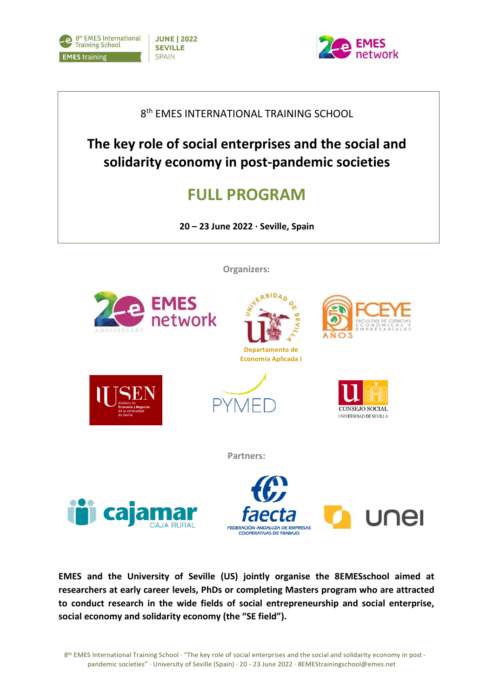



## 8<sup>th</sup> EMES INTERNATIONAL TRAINING SCHOOL

**The key role of social enterprises and the social and solidarity economy in post-pandemic societies**

# **FULL PROGRAM**

**20 – 23 June 2022 · Seville, Spain**

**Organizers:**







**Partners:**





CONSEJO SOCIAL UNIVERSIDAD DE SEVILLA

**EMES and the University of Seville (US) jointly organise the 8EMESschool aimed at researchers at early career levels, PhDs or completing Masters program who are attracted to conduct research in the wide fields of social entrepreneurship and social enterprise, social economy and solidarity economy (the "SE field").**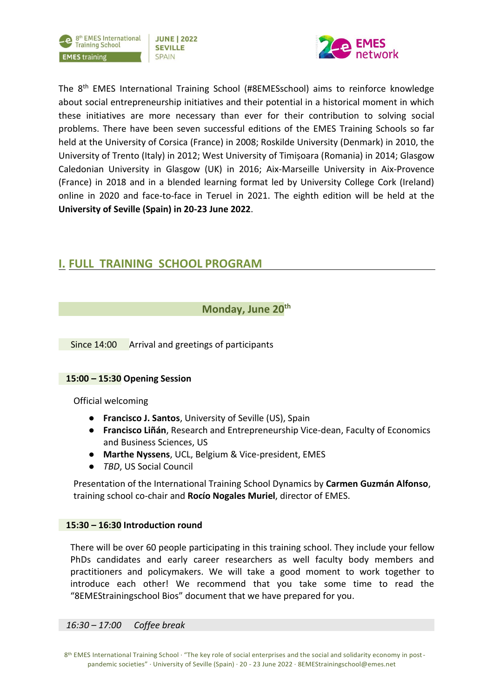



The 8th EMES International Training School (#8EMESschool) aims to reinforce knowledge about social entrepreneurship initiatives and their potential in a historical moment in which these initiatives are more necessary than ever for their contribution to solving social problems. There have been seven successful editions of the EMES Training Schools so far held at the University of Corsica (France) in 2008; Roskilde University (Denmark) in 2010, the University of Trento (Italy) in 2012; West University of Timișoara (Romania) in 2014; Glasgow Caledonian University in Glasgow (UK) in 2016; Aix-Marseille University in Aix-Provence (France) in 2018 and in a blended learning format led by University College Cork (Ireland) online in 2020 and face-to-face in Teruel in 2021. The eighth edition will be held at the **University of Seville (Spain) in 20-23 June 2022**.

## **I. FULL TRAINING SCHOOL PROGRAM**

**Monday, June 20th**

Since 14:00 Arrival and greetings of participants

### **15:00 – 15:30 Opening Session**

Official welcoming

- **Francisco J. Santos**, University of Seville (US), Spain
- **Francisco Liñán**, Research and Entrepreneurship Vice-dean, Faculty of Economics and Business Sciences, US
- **Marthe Nyssens**, UCL, Belgium & Vice-president, EMES
- *TBD*, US Social Council

Presentation of the International Training School Dynamics by **Carmen Guzmán Alfonso**, training school co-chair and **Rocío Nogales Muriel**, director of EMES.

### **15:30 – 16:30 Introduction round**

There will be over 60 people participating in this training school. They include your fellow PhDs candidates and early career researchers as well faculty body members and practitioners and policymakers. We will take a good moment to work together to introduce each other! We recommend that you take some time to read the "8EMEStrainingschool Bios" document that we have prepared for you.

*16:30 – 17:00 Coffee break*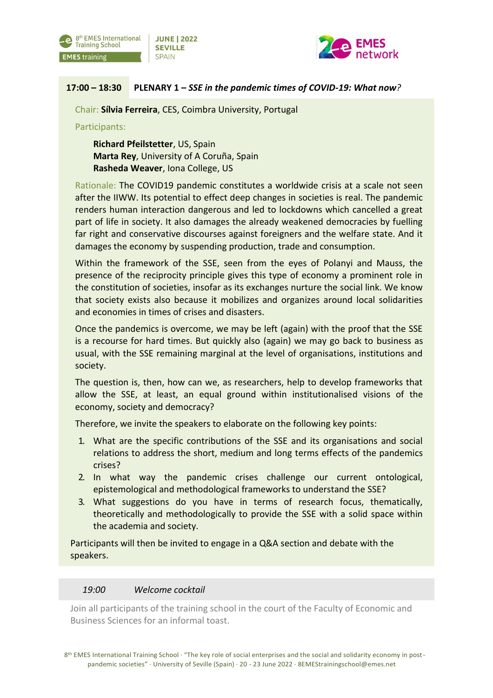



### **17:00 – 18:30 PLENARY 1 –** *SSE in the pandemic times of COVID-19: What now?*

Chair: **Sílvia Ferreira**, CES, Coimbra University, Portugal

Participants:

**Richard Pfeilstetter**, US, Spain **Marta Rey**, University of A Coruña, Spain **Rasheda Weaver**, Iona College, US

Rationale: The COVID19 pandemic constitutes a worldwide crisis at a scale not seen after the IIWW. Its potential to effect deep changes in societies is real. The pandemic renders human interaction dangerous and led to lockdowns which cancelled a great part of life in society. It also damages the already weakened democracies by fuelling far right and conservative discourses against foreigners and the welfare state. And it damages the economy by suspending production, trade and consumption.

Within the framework of the SSE, seen from the eyes of Polanyi and Mauss, the presence of the reciprocity principle gives this type of economy a prominent role in the constitution of societies, insofar as its exchanges nurture the social link. We know that society exists also because it mobilizes and organizes around local solidarities and economies in times of crises and disasters.

Once the pandemics is overcome, we may be left (again) with the proof that the SSE is a recourse for hard times. But quickly also (again) we may go back to business as usual, with the SSE remaining marginal at the level of organisations, institutions and society.

The question is, then, how can we, as researchers, help to develop frameworks that allow the SSE, at least, an equal ground within institutionalised visions of the economy, society and democracy?

Therefore, we invite the speakers to elaborate on the following key points:

- 1. What are the specific contributions of the SSE and its organisations and social relations to address the short, medium and long terms effects of the pandemics crises?
- 2. In what way the pandemic crises challenge our current ontological, epistemological and methodological frameworks to understand the SSE?
- 3. What suggestions do you have in terms of research focus, thematically, theoretically and methodologically to provide the SSE with a solid space within the academia and society.

Participants will then be invited to engage in a Q&A section and debate with the speakers.

### *19:00 Welcome cocktail*

Join all participants of the training school in the court of the Faculty of Economic and Business Sciences for an informal toast.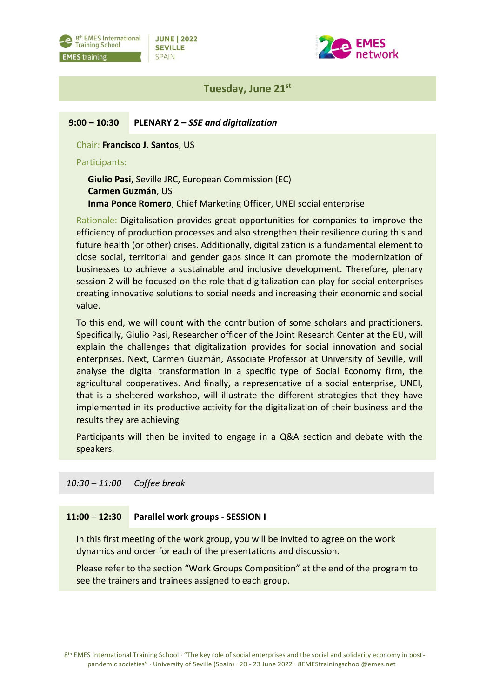



### **Tuesday, June 21st**

### **9:00 – 10:30 PLENARY 2 –** *SSE and digitalization*

Chair: **Francisco J. Santos**, US

### Participants:

**Giulio Pasi**, Seville JRC, European Commission (EC) **Carmen Guzmán**, US **Inma Ponce Romero**, Chief Marketing Officer, UNEI social enterprise

Rationale: Digitalisation provides great opportunities for companies to improve the efficiency of production processes and also strengthen their resilience during this and future health (or other) crises. Additionally, digitalization is a fundamental element to close social, territorial and gender gaps since it can promote the modernization of businesses to achieve a sustainable and inclusive development. Therefore, plenary session 2 will be focused on the role that digitalization can play for social enterprises creating innovative solutions to social needs and increasing their economic and social value.

To this end, we will count with the contribution of some scholars and practitioners. Specifically, Giulio Pasi, Researcher officer of the Joint Research Center at the EU, will explain the challenges that digitalization provides for social innovation and social enterprises. Next, Carmen Guzmán, Associate Professor at University of Seville, will analyse the digital transformation in a specific type of Social Economy firm, the agricultural cooperatives. And finally, a representative of a social enterprise, UNEI, that is a sheltered workshop, will illustrate the different strategies that they have implemented in its productive activity for the digitalization of their business and the results they are achieving

Participants will then be invited to engage in a Q&A section and debate with the speakers.

### *10:30 – 11:00 Coffee break*

#### **11:00 – 12:30 Parallel work groups - SESSION I**

In this first meeting of the work group, you will be invited to agree on the work dynamics and order for each of the presentations and discussion.

Please refer to the section "Work Groups Composition" at the end of the program to see the trainers and trainees assigned to each group.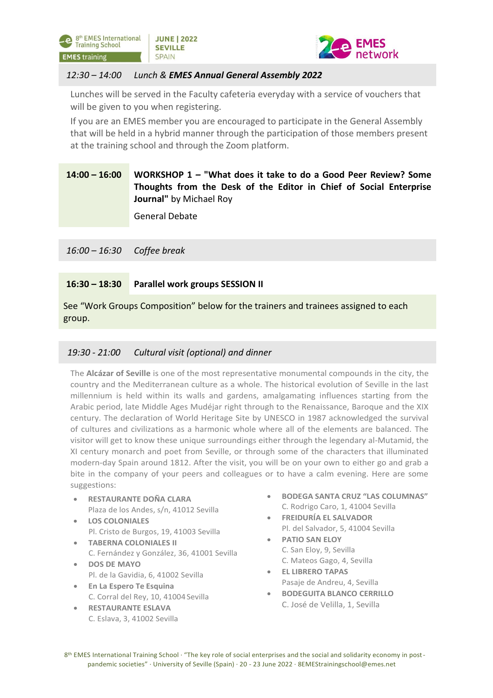



### *12:30 – 14:00 Lunch & EMES Annual General Assembly 2022*

Lunches will be served in the Faculty cafeteria everyday with a service of vouchers that will be given to you when registering.

If you are an EMES member you are encouraged to participate in the General Assembly that will be held in a hybrid manner through the participation of those members present at the training school and through the Zoom platform.

### **WORKSHOP 1** *–* **"What does it take to do a Good Peer Review? Some Thoughts from the Desk of the Editor in Chief of Social Enterprise Journal"** by Michael Roy **14:00 – 16:00**

General Debate

*16:00 – 16:30 Coffee break*

#### **16:30 – 18:30 Parallel work groups SESSION II**

See "Work Groups Composition" below for the trainers and trainees assigned to each group.

### *19:30 - 21:00 Cultural visit (optional) and dinner*

The **Alcázar of Seville** is one of the most representative monumental compounds in the city, the country and the Mediterranean culture as a whole. The historical evolution of Seville in the last millennium is held within its walls and gardens, amalgamating influences starting from the Arabic period, late Middle Ages Mudéjar right through to the Renaissance, Baroque and the XIX century. The declaration of World Heritage Site by UNESCO in 1987 acknowledged the survival of cultures and civilizations as a harmonic whole where all of the elements are balanced. The visitor will get to know these unique surroundings either through the legendary al-Mutamid, the XI century monarch and poet from Seville, or through some of the characters that illuminated modern-day Spain around 1812. After the visit, you will be on your own to either go and grab a bite in the company of your peers and colleagues or to have a calm evening. Here are some suggestions:

- **RESTAURANTE DOÑA CLARA** Plaza de los Andes, s/n, 41012 Sevilla
- **LOS COLONIALES** Pl. Cristo de Burgos, 19, 41003 Sevilla
- **TABERNA COLONIALES II** C. Fernández y González, 36, 41001 Sevilla
- **DOS DE MAYO** Pl. de la Gavidia, 6, 41002 Sevilla
- **En La Espero Te Esquina** C. Corral del Rey, 10, 41004 Sevilla
- **RESTAURANTE ESLAVA** C. Eslava, 3, 41002 Sevilla
- **BODEGA SANTA CRUZ "LAS COLUMNAS"** C. Rodrigo Caro, 1, 41004 Sevilla
- **FREIDURÍA EL SALVADOR** Pl. del Salvador, 5, 41004 Sevilla
- **PATIO SAN ELOY** C. San Eloy, 9, Sevilla C. Mateos Gago, 4, Sevilla
- **EL LIBRERO TAPAS** Pasaje de Andreu, 4, Sevilla
- **BODEGUITA BLANCO CERRILLO** C. José de Velilla, 1, Sevilla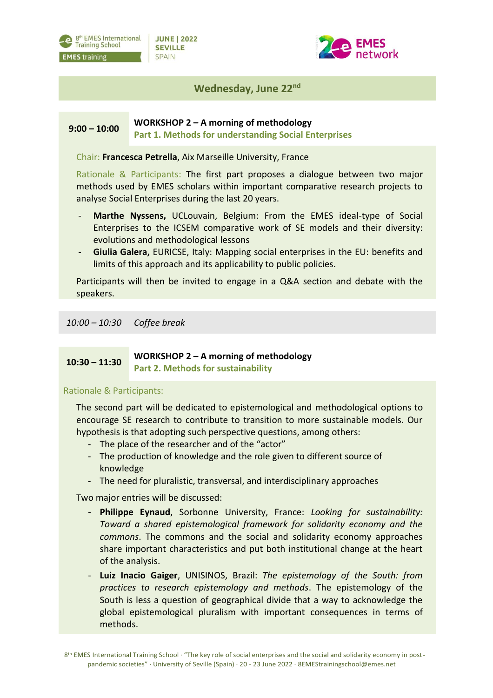

**JUNE | 2022 SEVILLE SPAIN** 



## **Wednesday, June 22nd**

#### **9:00 – 10:00 WORKSHOP 2 – A morning of methodology Part 1. Methods for understanding Social Enterprises**

Chair: **Francesca Petrella**, Aix Marseille University, France

Rationale & Participants: The first part proposes a dialogue between two major methods used by EMES scholars within important comparative research projects to analyse Social Enterprises during the last 20 years.

- **Marthe Nyssens,** UCLouvain, Belgium: From the EMES ideal-type of Social Enterprises to the ICSEM comparative work of SE models and their diversity: evolutions and methodological lessons
- Giulia Galera, EURICSE, Italy: Mapping social enterprises in the EU: benefits and limits of this approach and its applicability to public policies.

Participants will then be invited to engage in a Q&A section and debate with the speakers.

*10:00 – 10:30 Coffee break*

### **10:30 – 11:30 WORKSHOP 2 – A morning of methodology Part 2. Methods for sustainability**

### Rationale & Participants:

The second part will be dedicated to epistemological and methodological options to encourage SE research to contribute to transition to more sustainable models. Our hypothesis is that adopting such perspective questions, among others:

- The place of the researcher and of the "actor"
- The production of knowledge and the role given to different source of knowledge
- The need for pluralistic, transversal, and interdisciplinary approaches

Two major entries will be discussed:

- **Philippe Eynaud**, Sorbonne University, France: *Looking for sustainability: Toward a shared epistemological framework for solidarity economy and the commons*. The commons and the social and solidarity economy approaches share important characteristics and put both institutional change at the heart of the analysis.
- **Luiz Inacio Gaiger**, UNISINOS, Brazil: *The epistemology of the South: from practices to research epistemology and methods*. The epistemology of the South is less a question of geographical divide that a way to acknowledge the global epistemological pluralism with important consequences in terms of methods.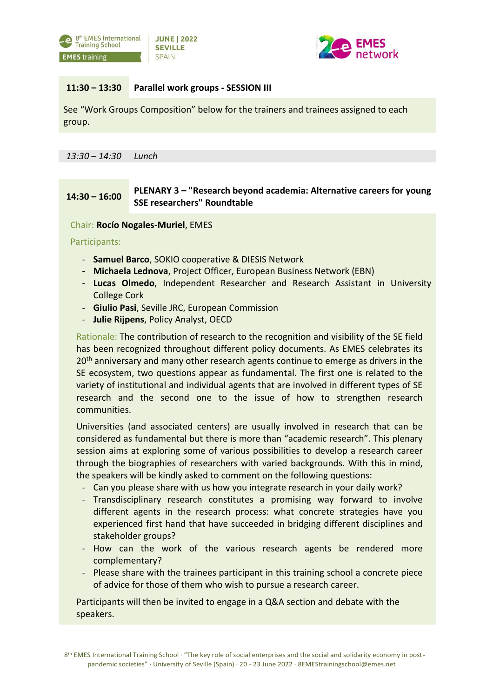



### **11:30 – 13:30 Parallel work groups - SESSION III**

See "Work Groups Composition" below for the trainers and trainees assigned to each group.

*13:30 – 14:30 Lunch*

### **14:30 – 16:00 PLENARY 3** *–* **"Research beyond academia: Alternative careers for young SSE researchers" Roundtable**

Chair: **Rocío Nogales-Muriel**, EMES

Participants:

- **Samuel Barco**, SOKIO cooperative & DIESIS Network
- **Michaela Lednova**, Project Officer, European Business Network (EBN)
- **Lucas Olmedo**, Independent Researcher and Research Assistant in University College Cork
- **Giulio Pasi**, Seville JRC, European Commission
- **Julie Rijpens**, Policy Analyst, OECD

Rationale: The contribution of research to the recognition and visibility of the SE field has been recognized throughout different policy documents. As EMES celebrates its 20<sup>th</sup> anniversary and many other research agents continue to emerge as drivers in the SE ecosystem, two questions appear as fundamental. The first one is related to the variety of institutional and individual agents that are involved in different types of SE research and the second one to the issue of how to strengthen research communities.

Universities (and associated centers) are usually involved in research that can be considered as fundamental but there is more than "academic research". This plenary session aims at exploring some of various possibilities to develop a research career through the biographies of researchers with varied backgrounds. With this in mind, the speakers will be kindly asked to comment on the following questions:

- Can you please share with us how you integrate research in your daily work?
- Transdisciplinary research constitutes a promising way forward to involve different agents in the research process: what concrete strategies have you experienced first hand that have succeeded in bridging different disciplines and stakeholder groups?
- How can the work of the various research agents be rendered more complementary?
- Please share with the trainees participant in this training school a concrete piece of advice for those of them who wish to pursue a research career.

Participants will then be invited to engage in a Q&A section and debate with the speakers.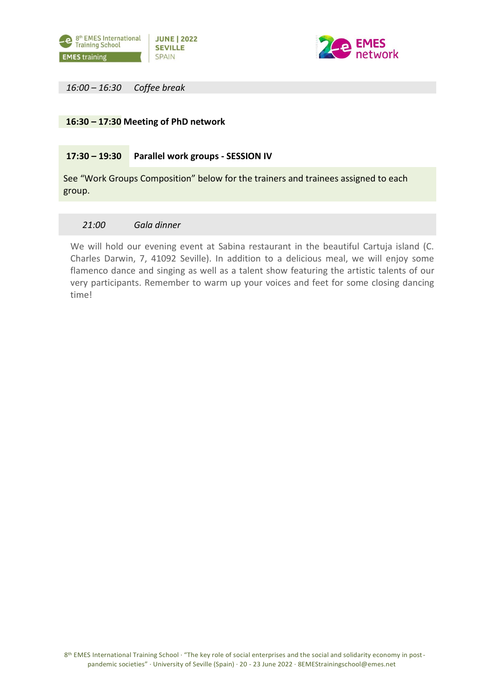



*16:00 – 16:30 Coffee break*

### **16:30 – 17:30 Meeting of PhD network**

#### **17:30 – 19:30 Parallel work groups - SESSION IV**

See "Work Groups Composition" below for the trainers and trainees assigned to each group.

### *21:00 Gala dinner*

We will hold our evening event at Sabina restaurant in the beautiful Cartuja island (C. Charles Darwin, 7, 41092 Seville). In addition to a delicious meal, we will enjoy some flamenco dance and singing as well as a talent show featuring the artistic talents of our very participants. Remember to warm up your voices and feet for some closing dancing time!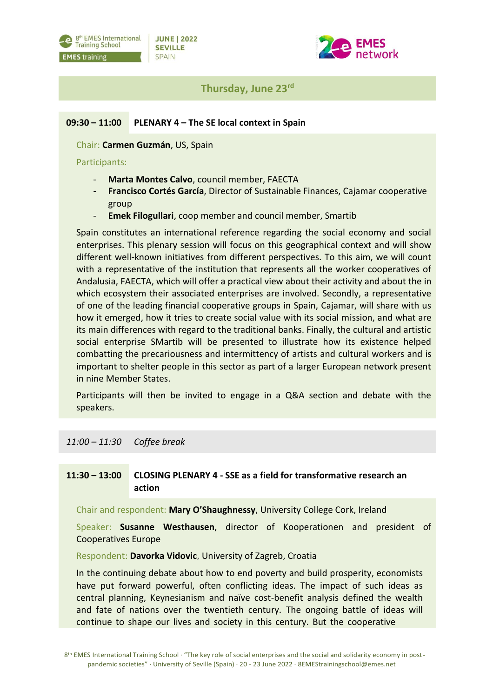



## **Thursday, June 23rd**

### **09:30 – 11:00 PLENARY 4 – The SE local context in Spain**

Chair: **Carmen Guzmán**, US, Spain

### Participants:

- **Marta Montes Calvo**, council member, FAECTA
- **Francisco Cortés García**, Director of Sustainable Finances, Cajamar cooperative group
- **Emek Filogullari**, coop member and council member, Smartib

Spain constitutes an international reference regarding the social economy and social enterprises. This plenary session will focus on this geographical context and will show different well-known initiatives from different perspectives. To this aim, we will count with a representative of the institution that represents all the worker cooperatives of Andalusia, FAECTA, which will offer a practical view about their activity and about the in which ecosystem their associated enterprises are involved. Secondly, a representative of one of the leading financial cooperative groups in Spain, Cajamar, will share with us how it emerged, how it tries to create social value with its social mission, and what are its main differences with regard to the traditional banks. Finally, the cultural and artistic social enterprise SMartib will be presented to illustrate how its existence helped combatting the precariousness and intermittency of artists and cultural workers and is important to shelter people in this sector as part of a larger European network present in nine Member States.

Participants will then be invited to engage in a Q&A section and debate with the speakers.

### *11:00 – 11:30 Coffee break*

#### **11:30 – 13:00 CLOSING PLENARY 4 - SSE as a field for transformative research an action**

Chair and respondent: **Mary O'Shaughnessy**, University College Cork, Ireland

Speaker: **Susanne Westhausen**, director of Kooperationen and president of Cooperatives Europe

Respondent: **Davorka Vidovic**, University of Zagreb, Croatia

In the continuing debate about how to end poverty and build prosperity, economists have put forward powerful, often conflicting ideas. The impact of such ideas as central planning, Keynesianism and naïve cost-benefit analysis defined the wealth and fate of nations over the twentieth century. The ongoing battle of ideas will continue to shape our lives and society in this century. But the cooperative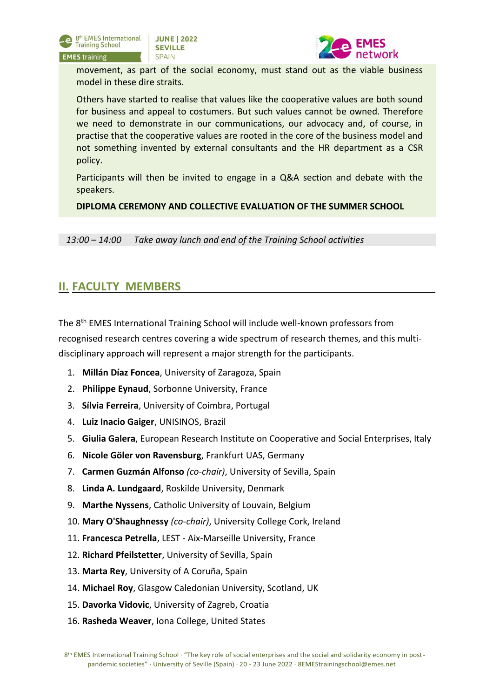



movement, as part of the social economy, must stand out as the viable business model in these dire straits.

Others have started to realise that values like the cooperative values are both sound for business and appeal to costumers. But such values cannot be owned. Therefore we need to demonstrate in our communications, our advocacy and, of course, in practise that the cooperative values are rooted in the core of the business model and not something invented by external consultants and the HR department as a CSR policy.

Participants will then be invited to engage in a Q&A section and debate with the speakers.

**DIPLOMA CEREMONY AND COLLECTIVE EVALUATION OF THE SUMMER SCHOOL**

*13:00 – 14:00 Take away lunch and end of the Training School activities*

## **II. FACULTY MEMBERS**

The 8th EMES International Training School will include well-known professors from recognised research centres covering a wide spectrum of research themes, and this multidisciplinary approach will represent a major strength for the participants.

- 1. **Millán Díaz Foncea**, University of Zaragoza, Spain
- 2. **Philippe Eynaud**, Sorbonne University, France
- 3. **Sílvia Ferreira**, University of Coimbra, Portugal
- 4. **Luiz Inacio Gaiger**, UNISINOS, Brazil
- 5. **Giulia Galera**, European Research Institute on Cooperative and Social Enterprises, Italy
- 6. **Nicole Göler von Ravensburg**, Frankfurt UAS, Germany
- 7. **Carmen Guzmán Alfonso** *(co-chair)*, University of Sevilla, Spain
- 8. **Linda A. Lundgaard**, Roskilde University, Denmark
- 9. **Marthe Nyssens**, Catholic University of Louvain, Belgium
- 10. **Mary O'Shaughnessy** *(co-chair)*, University College Cork, Ireland
- 11. **Francesca Petrella**, LEST Aix-Marseille University, France
- 12. **Richard Pfeilstetter**, University of Sevilla, Spain
- 13. **Marta Rey**, University of A Coruña, Spain
- 14. **Michael Roy**, Glasgow Caledonian University, Scotland, UK
- 15. **Davorka Vidovic**, University of Zagreb, Croatia
- 16. **Rasheda Weaver**, Iona College, United States